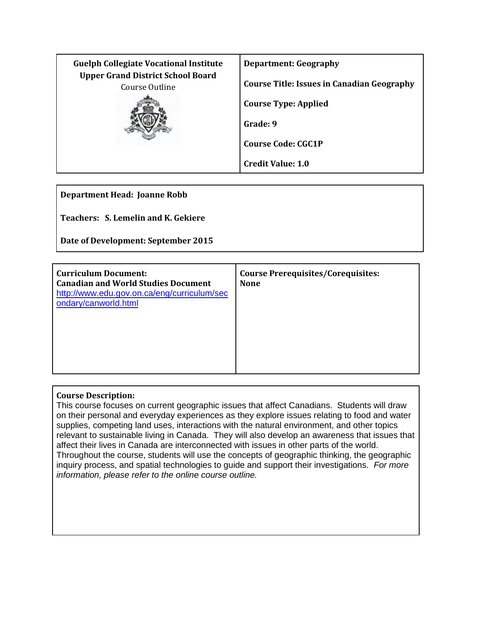| <b>Guelph Collegiate Vocational Institute</b>              | <b>Department: Geography</b>                      |
|------------------------------------------------------------|---------------------------------------------------|
| <b>Upper Grand District School Board</b><br>Course Outline | <b>Course Title: Issues in Canadian Geography</b> |
|                                                            | <b>Course Type: Applied</b>                       |
|                                                            | Grade: 9                                          |
|                                                            | <b>Course Code: CGC1P</b>                         |
|                                                            | <b>Credit Value: 1.0</b>                          |

**Department Head: Joanne Robb**

**Teachers: S. Lemelin and K. Gekiere**

**Date of Development: September 2015**

|  | <b>Curriculum Document:</b><br><b>Canadian and World Studies Document</b><br>http://www.edu.gov.on.ca/eng/curriculum/sec<br>ondary/canworld.html | <b>Course Prerequisites/Corequisites:</b><br><b>None</b> |
|--|--------------------------------------------------------------------------------------------------------------------------------------------------|----------------------------------------------------------|
|--|--------------------------------------------------------------------------------------------------------------------------------------------------|----------------------------------------------------------|

# **Course Description:**

This course focuses on current geographic issues that affect Canadians. Students will draw on their personal and everyday experiences as they explore issues relating to food and water supplies, competing land uses, interactions with the natural environment, and other topics relevant to sustainable living in Canada. They will also develop an awareness that issues that affect their lives in Canada are interconnected with issues in other parts of the world. Throughout the course, students will use the concepts of geographic thinking, the geographic inquiry process, and spatial technologies to guide and support their investigations. *For more information, please refer to the online course outline.*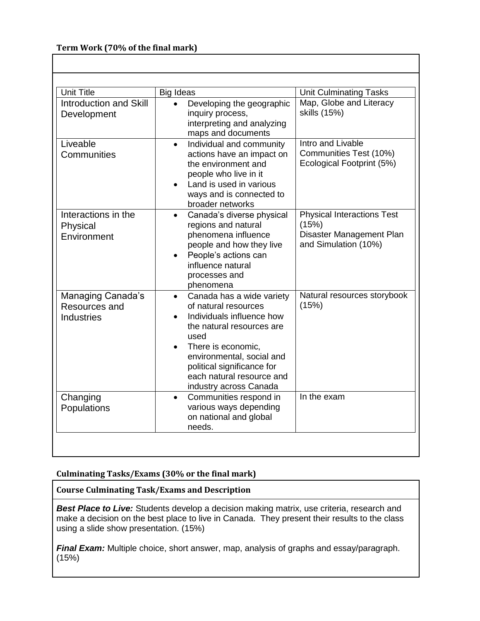# **Term Work (70% of the final mark)**

| <b>Unit Title</b>                                       | Big Ideas                                                                                                                                                                                                                                                                                          | <b>Unit Culminating Tasks</b>                                                                  |
|---------------------------------------------------------|----------------------------------------------------------------------------------------------------------------------------------------------------------------------------------------------------------------------------------------------------------------------------------------------------|------------------------------------------------------------------------------------------------|
| <b>Introduction and Skill</b><br>Development            | Developing the geographic<br>inquiry process,<br>interpreting and analyzing<br>maps and documents                                                                                                                                                                                                  | Map, Globe and Literacy<br>skills (15%)                                                        |
| Liveable<br>Communities                                 | Individual and community<br>$\bullet$<br>actions have an impact on<br>the environment and<br>people who live in it<br>Land is used in various<br>ways and is connected to<br>broader networks                                                                                                      | Intro and Livable<br>Communities Test (10%)<br>Ecological Footprint (5%)                       |
| Interactions in the<br>Physical<br>Environment          | Canada's diverse physical<br>regions and natural<br>phenomena influence<br>people and how they live<br>People's actions can<br>$\bullet$<br>influence natural<br>processes and<br>phenomena                                                                                                        | <b>Physical Interactions Test</b><br>(15%)<br>Disaster Management Plan<br>and Simulation (10%) |
| Managing Canada's<br>Resources and<br><b>Industries</b> | Canada has a wide variety<br>$\bullet$<br>of natural resources<br>Individuals influence how<br>$\bullet$<br>the natural resources are<br>used<br>There is economic,<br>$\bullet$<br>environmental, social and<br>political significance for<br>each natural resource and<br>industry across Canada | Natural resources storybook<br>(15%)                                                           |
| Changing<br>Populations                                 | Communities respond in<br>$\bullet$<br>various ways depending<br>on national and global<br>needs.                                                                                                                                                                                                  | In the exam                                                                                    |

# **Culminating Tasks/Exams (30% or the final mark)**

**Course Culminating Task/Exams and Description**

**Best Place to Live:** Students develop a decision making matrix, use criteria, research and make a decision on the best place to live in Canada. They present their results to the class using a slide show presentation. (15%)

*Final Exam:* Multiple choice, short answer, map, analysis of graphs and essay/paragraph. (15%)